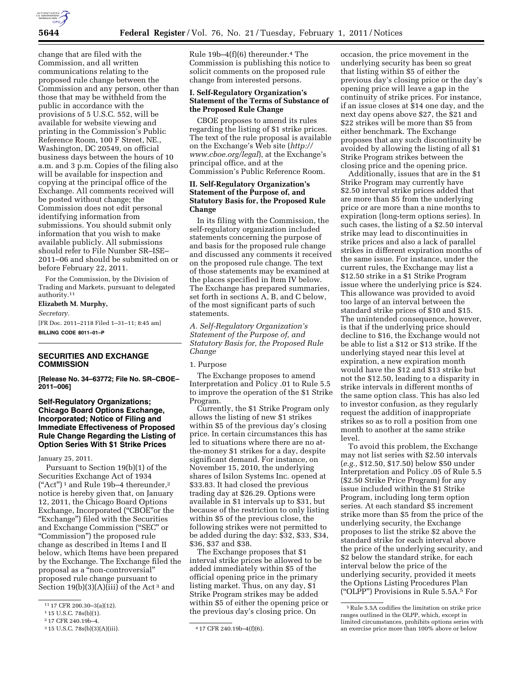

change that are filed with the Commission, and all written communications relating to the proposed rule change between the Commission and any person, other than those that may be withheld from the public in accordance with the provisions of 5 U.S.C. 552, will be available for website viewing and printing in the Commission's Public Reference Room, 100 F Street, NE., Washington, DC 20549, on official business days between the hours of 10 a.m. and 3 p.m. Copies of the filing also will be available for inspection and copying at the principal office of the Exchange. All comments received will be posted without change; the Commission does not edit personal identifying information from submissions. You should submit only information that you wish to make available publicly. All submissions should refer to File Number SR–ISE– 2011–06 and should be submitted on or before February 22, 2011.

For the Commission, by the Division of Trading and Markets, pursuant to delegated authority.11

# **Elizabeth M. Murphy,**

*Secretary.* 

[FR Doc. 2011–2118 Filed 1–31–11; 8:45 am] **BILLING CODE 8011–01–P** 

## **SECURITIES AND EXCHANGE COMMISSION**

**[Release No. 34–63772; File No. SR–CBOE– 2011–006]** 

**Self-Regulatory Organizations; Chicago Board Options Exchange, Incorporated; Notice of Filing and Immediate Effectiveness of Proposed Rule Change Regarding the Listing of Option Series With \$1 Strike Prices** 

January 25, 2011.

Pursuant to Section 19(b)(1) of the Securities Exchange Act of 1934  $("Act")^1$  and Rule 19b-4 thereunder,<sup>2</sup> notice is hereby given that, on January 12, 2011, the Chicago Board Options Exchange, Incorporated (''CBOE''or the ''Exchange'') filed with the Securities and Exchange Commission (''SEC'' or ''Commission'') the proposed rule change as described in Items I and II below, which Items have been prepared by the Exchange. The Exchange filed the proposal as a ''non-controversial'' proposed rule change pursuant to Section  $19(b)(3)(A)(iii)$  of the Act<sup>3</sup> and

Rule  $19b-4(f)(6)$  thereunder.<sup>4</sup> The Commission is publishing this notice to solicit comments on the proposed rule change from interested persons.

## **I. Self-Regulatory Organization's Statement of the Terms of Substance of the Proposed Rule Change**

CBOE proposes to amend its rules regarding the listing of \$1 strike prices. The text of the rule proposal is available on the Exchange's Web site (*[http://](http://www.cboe.org/legal) [www.cboe.org/legal](http://www.cboe.org/legal)*), at the Exchange's principal office, and at the Commission's Public Reference Room.

# **II. Self-Regulatory Organization's Statement of the Purpose of, and Statutory Basis for, the Proposed Rule Change**

In its filing with the Commission, the self-regulatory organization included statements concerning the purpose of and basis for the proposed rule change and discussed any comments it received on the proposed rule change. The text of those statements may be examined at the places specified in Item IV below. The Exchange has prepared summaries, set forth in sections A, B, and C below, of the most significant parts of such statements.

*A. Self-Regulatory Organization's Statement of the Purpose of, and Statutory Basis for, the Proposed Rule Change* 

## 1. Purpose

The Exchange proposes to amend Interpretation and Policy .01 to Rule 5.5 to improve the operation of the \$1 Strike Program.

Currently, the \$1 Strike Program only allows the listing of new \$1 strikes within \$5 of the previous day's closing price. In certain circumstances this has led to situations where there are no atthe-money \$1 strikes for a day, despite significant demand. For instance, on November 15, 2010, the underlying shares of Isilon Systems Inc. opened at \$33.83. It had closed the previous trading day at \$26.29. Options were available in \$1 intervals up to \$31, but because of the restriction to only listing within \$5 of the previous close, the following strikes were not permitted to be added during the day: \$32, \$33, \$34, \$36, \$37 and \$38.

The Exchange proposes that \$1 interval strike prices be allowed to be added immediately within \$5 of the official opening price in the primary listing market. Thus, on any day, \$1 Strike Program strikes may be added within \$5 of either the opening price or the previous day's closing price. On

occasion, the price movement in the underlying security has been so great that listing within \$5 of either the previous day's closing price or the day's opening price will leave a gap in the continuity of strike prices. For instance, if an issue closes at \$14 one day, and the next day opens above \$27, the \$21 and \$22 strikes will be more than \$5 from either benchmark. The Exchange proposes that any such discontinuity be avoided by allowing the listing of all \$1 Strike Program strikes between the closing price and the opening price.

Additionally, issues that are in the \$1 Strike Program may currently have \$2.50 interval strike prices added that are more than \$5 from the underlying price or are more than a nine months to expiration (long-term options series). In such cases, the listing of a \$2.50 interval strike may lead to discontinuities in strike prices and also a lack of parallel strikes in different expiration months of the same issue. For instance, under the current rules, the Exchange may list a \$12.50 strike in a \$1 Strike Program issue where the underlying price is \$24. This allowance was provided to avoid too large of an interval between the standard strike prices of \$10 and \$15. The unintended consequence, however, is that if the underlying price should decline to \$16, the Exchange would not be able to list a \$12 or \$13 strike. If the underlying stayed near this level at expiration, a new expiration month would have the \$12 and \$13 strike but not the \$12.50, leading to a disparity in strike intervals in different months of the same option class. This has also led to investor confusion, as they regularly request the addition of inappropriate strikes so as to roll a position from one month to another at the same strike level.

To avoid this problem, the Exchange may not list series with \$2.50 intervals (*e.g.,* \$12.50, \$17.50) below \$50 under Interpretation and Policy .05 of Rule 5.5 (\$2.50 Strike Price Program) for any issue included within the \$1 Strike Program, including long term option series. At each standard \$5 increment strike more than \$5 from the price of the underlying security, the Exchange proposes to list the strike \$2 above the standard strike for each interval above the price of the underlying security, and \$2 below the standard strike, for each interval below the price of the underlying security, provided it meets the Options Listing Procedures Plan (''OLPP'') Provisions in Rule 5.5A.5 For

<sup>11</sup> 17 CFR 200.30–3(a)(12).

<sup>1</sup> 15 U.S.C. 78s(b)(1).

<sup>2</sup> 17 CFR 240.19b–4.

<sup>3</sup> 15 U.S.C. 78s(b)(3)(A)(iii). 4 17 CFR 240.19b–4(f)(6).

<sup>5</sup>Rule 5.5A codifies the limitation on strike price ranges outlined in the OLPP, which, except in limited circumstances, prohibits options series with an exercise price more than 100% above or below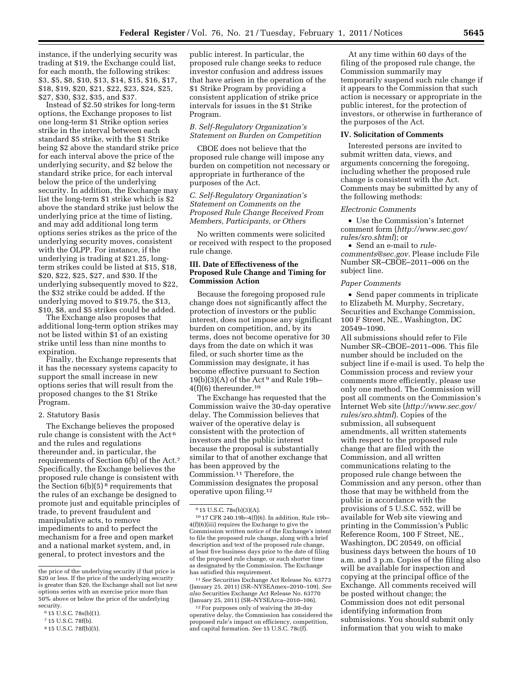instance, if the underlying security was trading at \$19, the Exchange could list, for each month, the following strikes: \$3, \$5, \$8, \$10, \$13, \$14, \$15, \$16, \$17, \$18, \$19, \$20, \$21, \$22, \$23, \$24, \$25, \$27, \$30, \$32, \$35, and \$37.

Instead of \$2.50 strikes for long-term options, the Exchange proposes to list one long-term \$1 Strike option series strike in the interval between each standard \$5 strike, with the \$1 Strike being \$2 above the standard strike price for each interval above the price of the underlying security, and \$2 below the standard strike price, for each interval below the price of the underlying security. In addition, the Exchange may list the long-term \$1 strike which is \$2 above the standard strike just below the underlying price at the time of listing, and may add additional long term options series strikes as the price of the underlying security moves, consistent with the OLPP. For instance, if the underlying is trading at \$21.25, longterm strikes could be listed at \$15, \$18, \$20, \$22, \$25, \$27, and \$30. If the underlying subsequently moved to \$22, the \$32 strike could be added. If the underlying moved to \$19.75, the \$13, \$10, \$8, and \$5 strikes could be added.

The Exchange also proposes that additional long-term option strikes may not be listed within \$1 of an existing strike until less than nine months to expiration.

Finally, the Exchange represents that it has the necessary systems capacity to support the small increase in new options series that will result from the proposed changes to the \$1 Strike Program.

#### 2. Statutory Basis

The Exchange believes the proposed rule change is consistent with the Act 6 and the rules and regulations thereunder and, in particular, the requirements of Section 6(b) of the Act.7 Specifically, the Exchange believes the proposed rule change is consistent with the Section  $6(b)(5)^8$  requirements that the rules of an exchange be designed to promote just and equitable principles of trade, to prevent fraudulent and manipulative acts, to remove impediments to and to perfect the mechanism for a free and open market and a national market system, and, in general, to protect investors and the

public interest. In particular, the proposed rule change seeks to reduce investor confusion and address issues that have arisen in the operation of the \$1 Strike Program by providing a consistent application of strike price intervals for issues in the \$1 Strike Program.

*B. Self-Regulatory Organization's Statement on Burden on Competition* 

CBOE does not believe that the proposed rule change will impose any burden on competition not necessary or appropriate in furtherance of the purposes of the Act.

*C. Self-Regulatory Organization's Statement on Comments on the Proposed Rule Change Received From Members, Participants, or Others* 

No written comments were solicited or received with respect to the proposed rule change.

## **III. Date of Effectiveness of the Proposed Rule Change and Timing for Commission Action**

Because the foregoing proposed rule change does not significantly affect the protection of investors or the public interest, does not impose any significant burden on competition, and, by its terms, does not become operative for 30 days from the date on which it was filed, or such shorter time as the Commission may designate, it has become effective pursuant to Section  $19(b)(3)(A)$  of the Act<sup>9</sup> and Rule 19b-4(f)(6) thereunder.10

The Exchange has requested that the Commission waive the 30-day operative delay. The Commission believes that waiver of the operative delay is consistent with the protection of investors and the public interest because the proposal is substantially similar to that of another exchange that has been approved by the Commission.11 Therefore, the Commission designates the proposal operative upon filing.12

11*See* Securities Exchange Act Release No. 63773 (January 25, 2011) (SR–NYSEAmex–2010–109). *See also* Securities Exchange Act Release No. 63770 (January 25, 2011) (SR–NYSEArca–2010–106).

12For purposes only of waiving the 30-day operative delay, the Commission has considered the proposed rule's impact on efficiency, competition, and capital formation. *See* 15 U.S.C. 78c(f).

At any time within 60 days of the filing of the proposed rule change, the Commission summarily may temporarily suspend such rule change if it appears to the Commission that such action is necessary or appropriate in the public interest, for the protection of investors, or otherwise in furtherance of the purposes of the Act.

### **IV. Solicitation of Comments**

Interested persons are invited to submit written data, views, and arguments concerning the foregoing, including whether the proposed rule change is consistent with the Act. Comments may be submitted by any of the following methods:

### *Electronic Comments*

• Use the Commission's Internet comment form (*[http://www.sec.gov/](http://www.sec.gov/rules/sro.shtml)  [rules/sro.shtml](http://www.sec.gov/rules/sro.shtml)*); or

• Send an e-mail to *[rule](mailto:rule-comments@sec.gov)[comments@sec.gov.](mailto:rule-comments@sec.gov)* Please include File Number SR–CBOE–2011–006 on the subject line.

### *Paper Comments*

• Send paper comments in triplicate to Elizabeth M. Murphy, Secretary, Securities and Exchange Commission, 100 F Street, NE., Washington, DC 20549–1090.

All submissions should refer to File Number SR–CBOE–2011–006. This file number should be included on the subject line if e-mail is used. To help the Commission process and review your comments more efficiently, please use only one method. The Commission will post all comments on the Commission's Internet Web site (*[http://www.sec.gov/](http://www.sec.gov/rules/sro.shtml)  [rules/sro.shtml](http://www.sec.gov/rules/sro.shtml)*). Copies of the submission, all subsequent amendments, all written statements with respect to the proposed rule change that are filed with the Commission, and all written communications relating to the proposed rule change between the Commission and any person, other than those that may be withheld from the public in accordance with the provisions of 5 U.S.C. 552, will be available for Web site viewing and printing in the Commission's Public Reference Room, 100 F Street, NE., Washington, DC 20549, on official business days between the hours of 10 a.m. and 3 p.m. Copies of the filing also will be available for inspection and copying at the principal office of the Exchange. All comments received will be posted without change; the Commission does not edit personal identifying information from submissions. You should submit only information that you wish to make

the price of the underlying security if that price is \$20 or less. If the price of the underlying security is greater than \$20, the Exchange shall not list new options series with an exercise price more than 50% above or below the price of the underlying security.

<sup>6</sup> 15 U.S.C. 78s(b)(1).

<sup>7</sup> 15 U.S.C. 78f(b).

<sup>8</sup> 15 U.S.C. 78f(b)(5).

<sup>9</sup> 15 U.S.C. 78s(b)(3)(A).

<sup>10</sup> 17 CFR 240.19b–4(f)(6). In addition, Rule 19b– 4(f)(6)(iii) requires the Exchange to give the Commission written notice of the Exchange's intent to file the proposed rule change, along with a brief description and text of the proposed rule change, at least five business days prior to the date of filing of the proposed rule change, or such shorter time as designated by the Commission. The Exchange has satisfied this requirement.